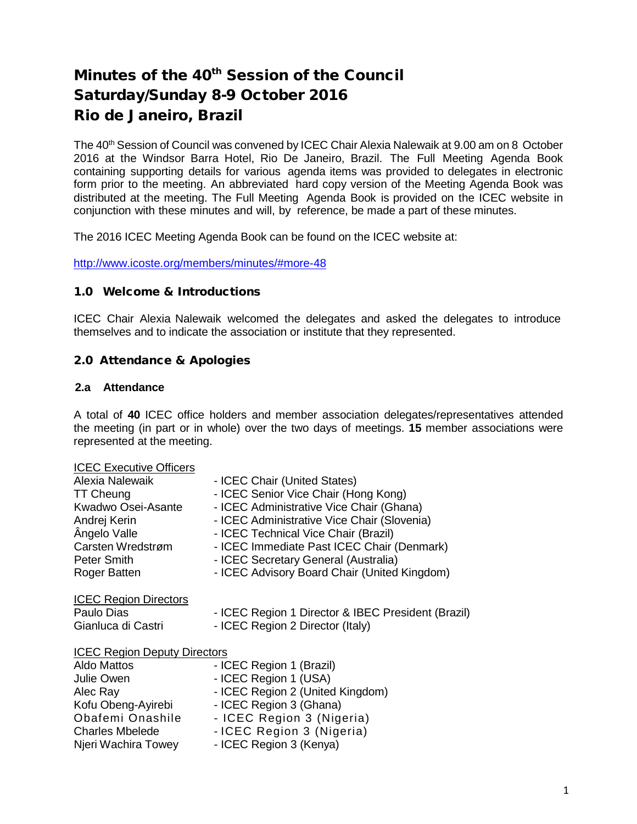# Minutes of the 40<sup>th</sup> Session of the Council Saturday/Sunday 8-9 October 2016 Rio de Janeiro, Brazil

The 40<sup>th</sup> Session of Council was convened by ICEC Chair Alexia Nalewaik at 9.00 am on 8 October 2016 at the Windsor Barra Hotel, Rio De Janeiro, Brazil. The Full Meeting Agenda Book containing supporting details for various agenda items was provided to delegates in electronic form prior to the meeting. An abbreviated hard copy version of the Meeting Agenda Book was distributed at the meeting. The Full Meeting Agenda Book is provided on the ICEC website in conjunction with these minutes and will, by reference, be made a part of these minutes.

The 2016 ICEC Meeting Agenda Book can be found on the ICEC website at:

<http://www.icoste.org/members/minutes/#more-48>

### 1.0 Welcome & Introductions

ICEC Chair Alexia Nalewaik welcomed the delegates and asked the delegates to introduce themselves and to indicate the association or institute that they represented.

# 2.0 Attendance & Apologies

### **2.a Attendance**

A total of **40** ICEC office holders and member association delegates/representatives attended the meeting (in part or in whole) over the two days of meetings. **15** member associations were represented at the meeting.

#### ICEC Executive Officers

| Alexia Nalewaik                     | - ICEC Chair (United States)                       |
|-------------------------------------|----------------------------------------------------|
| <b>TT Cheung</b>                    | - ICEC Senior Vice Chair (Hong Kong)               |
| Kwadwo Osei-Asante                  | - ICEC Administrative Vice Chair (Ghana)           |
| Andrej Kerin                        | - ICEC Administrative Vice Chair (Slovenia)        |
| Ângelo Valle                        | - ICEC Technical Vice Chair (Brazil)               |
| Carsten Wredstrøm                   | - ICEC Immediate Past ICEC Chair (Denmark)         |
| Peter Smith                         | - ICEC Secretary General (Australia)               |
| Roger Batten                        | - ICEC Advisory Board Chair (United Kingdom)       |
| <b>ICEC Region Directors</b>        |                                                    |
| Paulo Dias                          | - ICEC Region 1 Director & IBEC President (Brazil) |
| Gianluca di Castri                  | - ICEC Region 2 Director (Italy)                   |
| <b>ICEC Region Deputy Directors</b> |                                                    |
| Aldo Mattos                         | - ICEC Region 1 (Brazil)                           |
| Julie Owen                          | - ICEC Region 1 (USA)                              |
| Alec Ray                            | - ICEC Region 2 (United Kingdom)                   |
| Kofu Obeng-Ayirebi                  | - ICEC Region 3 (Ghana)                            |
| Obafemi Onashile                    | - ICEC Region 3 (Nigeria)                          |
| <b>Charles Mbelede</b>              | - ICEC Region 3 (Nigeria)                          |
| Njeri Wachira Towey                 | - ICEC Region 3 (Kenya)                            |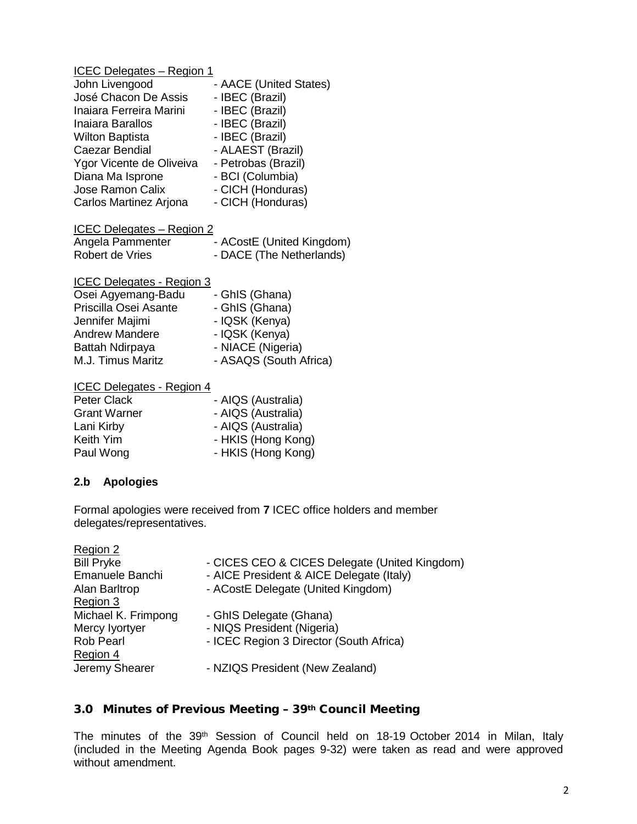| John Livengood           | - AACE (United States) |
|--------------------------|------------------------|
| José Chacon De Assis     | - IBEC (Brazil)        |
| Inaiara Ferreira Marini  | - IBEC (Brazil)        |
| Inaiara Barallos         | - IBEC (Brazil)        |
| <b>Wilton Baptista</b>   | - IBEC (Brazil)        |
| Caezar Bendial           | - ALAEST (Brazil)      |
| Ygor Vicente de Oliveiva | - Petrobas (Brazil)    |
| Diana Ma Isprone         | - BCI (Columbia)       |
| Jose Ramon Calix         | - CICH (Honduras)      |
| Carlos Martinez Arjona   | - CICH (Honduras)      |

| ICEC Delegates - Region 2 |                           |
|---------------------------|---------------------------|
| Angela Pammenter          | - ACostE (United Kingdom) |
| Robert de Vries           | - DACE (The Netherlands)  |

| <b>ICEC Delegates - Region 3</b> |                        |
|----------------------------------|------------------------|
| Osei Agyemang-Badu               | - GhIS (Ghana)         |
| Priscilla Osei Asante            | - GhIS (Ghana)         |
| Jennifer Majimi                  | - IQSK (Kenya)         |
| <b>Andrew Mandere</b>            | - IQSK (Kenya)         |
| Battah Ndirpaya                  | - NIACE (Nigeria)      |
| M.J. Timus Maritz                | - ASAQS (South Africa) |

|  | <b>ICEC Delegates - Region 4</b> |
|--|----------------------------------|
|  |                                  |

| - AIQS (Australia) |
|--------------------|
| - AIQS (Australia) |
| - AIQS (Australia) |
| - HKIS (Hong Kong) |
| - HKIS (Hong Kong) |
|                    |

# **2.b Apologies**

Formal apologies were received from **7** ICEC office holders and member delegates/representatives.

| Region 2            |                                               |
|---------------------|-----------------------------------------------|
| <b>Bill Pryke</b>   | - CICES CEO & CICES Delegate (United Kingdom) |
| Emanuele Banchi     | - AICE President & AICE Delegate (Italy)      |
| Alan Barltrop       | - ACostE Delegate (United Kingdom)            |
| Region 3            |                                               |
| Michael K. Frimpong | - GhIS Delegate (Ghana)                       |
| Mercy lyortyer      | - NIQS President (Nigeria)                    |
| <b>Rob Pearl</b>    | - ICEC Region 3 Director (South Africa)       |
| Region 4            |                                               |
| Jeremy Shearer      | - NZIQS President (New Zealand)               |
|                     |                                               |

# 3.0 Minutes of Previous Meeting – 39th Council Meeting

The minutes of the 39<sup>th</sup> Session of Council held on 18-19 October 2014 in Milan, Italy (included in the Meeting Agenda Book pages 9-32) were taken as read and were approved without amendment.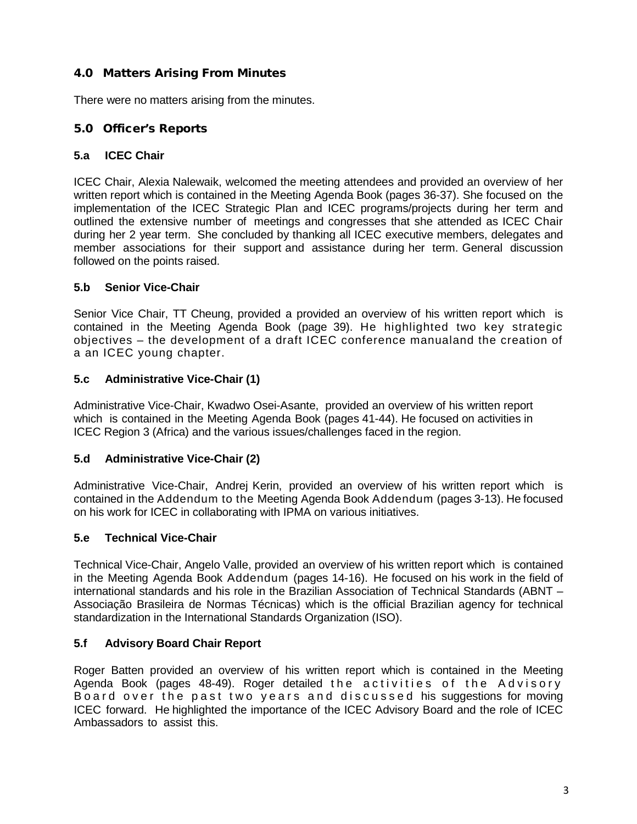# 4.0 Matters Arising From Minutes

There were no matters arising from the minutes.

# 5.0 Officer's Reports

# **5.a ICEC Chair**

ICEC Chair, Alexia Nalewaik, welcomed the meeting attendees and provided an overview of her written report which is contained in the Meeting Agenda Book (pages 36-37). She focused on the implementation of the ICEC Strategic Plan and ICEC programs/projects during her term and outlined the extensive number of meetings and congresses that she attended as ICEC Chair during her 2 year term. She concluded by thanking all ICEC executive members, delegates and member associations for their support and assistance during her term. General discussion followed on the points raised.

# **5.b Senior Vice-Chair**

Senior Vice Chair, TT Cheung, provided a provided an overview of his written report which is contained in the Meeting Agenda Book (page 39). He highlighted two key strategic objectives – the development of a draft ICEC conference manualand the creation of a an ICEC young chapter.

# **5.c Administrative Vice-Chair (1)**

Administrative Vice-Chair, Kwadwo Osei-Asante, provided an overview of his written report which is contained in the Meeting Agenda Book (pages 41-44). He focused on activities in ICEC Region 3 (Africa) and the various issues/challenges faced in the region.

# **5.d Administrative Vice-Chair (2)**

Administrative Vice-Chair, Andrej Kerin, provided an overview of his written report which is contained in the Addendum to the Meeting Agenda Book Addendum (pages 3-13). He focused on his work for ICEC in collaborating with IPMA on various initiatives.

# **5.e Technical Vice-Chair**

Technical Vice-Chair, Angelo Valle, provided an overview of his written report which is contained in the Meeting Agenda Book Addendum (pages 14-16). He focused on his work in the field of international standards and his role in the Brazilian Association of Technical Standards (ABNT – Associação Brasileira de Normas Técnicas) which is the official Brazilian agency for technical standardization in the International Standards Organization (ISO).

# **5.f Advisory Board Chair Report**

Roger Batten provided an overview of his written report which is contained in the Meeting Agenda Book (pages 48-49). Roger detailed the activities of the Advisory Board over the past two years and discussed his suggestions for moving ICEC forward. He highlighted the importance of the ICEC Advisory Board and the role of ICEC Ambassadors to assist this.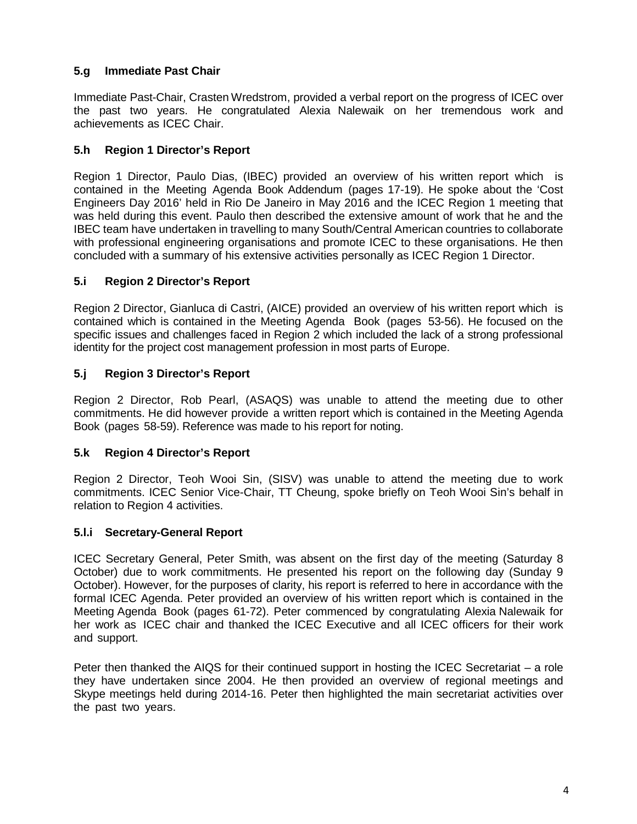# **5.g Immediate Past Chair**

Immediate Past-Chair, Crasten Wredstrom, provided a verbal report on the progress of ICEC over the past two years. He congratulated Alexia Nalewaik on her tremendous work and achievements as ICEC Chair.

# **5.h Region 1 Director's Report**

Region 1 Director, Paulo Dias, (IBEC) provided an overview of his written report which is contained in the Meeting Agenda Book Addendum (pages 17-19). He spoke about the 'Cost Engineers Day 2016' held in Rio De Janeiro in May 2016 and the ICEC Region 1 meeting that was held during this event. Paulo then described the extensive amount of work that he and the IBEC team have undertaken in travelling to many South/Central American countries to collaborate with professional engineering organisations and promote ICEC to these organisations. He then concluded with a summary of his extensive activities personally as ICEC Region 1 Director.

# **5.i Region 2 Director's Report**

Region 2 Director, Gianluca di Castri, (AICE) provided an overview of his written report which is contained which is contained in the Meeting Agenda Book (pages 53-56). He focused on the specific issues and challenges faced in Region 2 which included the lack of a strong professional identity for the project cost management profession in most parts of Europe.

# **5.j Region 3 Director's Report**

Region 2 Director, Rob Pearl, (ASAQS) was unable to attend the meeting due to other commitments. He did however provide a written report which is contained in the Meeting Agenda Book (pages 58-59). Reference was made to his report for noting.

### **5.k Region 4 Director's Report**

Region 2 Director, Teoh Wooi Sin, (SISV) was unable to attend the meeting due to work commitments. ICEC Senior Vice-Chair, TT Cheung, spoke briefly on Teoh Wooi Sin's behalf in relation to Region 4 activities.

### **5.l.i Secretary-General Report**

ICEC Secretary General, Peter Smith, was absent on the first day of the meeting (Saturday 8 October) due to work commitments. He presented his report on the following day (Sunday 9 October). However, for the purposes of clarity, his report is referred to here in accordance with the formal ICEC Agenda. Peter provided an overview of his written report which is contained in the Meeting Agenda Book (pages 61-72). Peter commenced by congratulating Alexia Nalewaik for her work as ICEC chair and thanked the ICEC Executive and all ICEC officers for their work and support.

Peter then thanked the AIQS for their continued support in hosting the ICEC Secretariat – a role they have undertaken since 2004. He then provided an overview of regional meetings and Skype meetings held during 2014-16. Peter then highlighted the main secretariat activities over the past two years.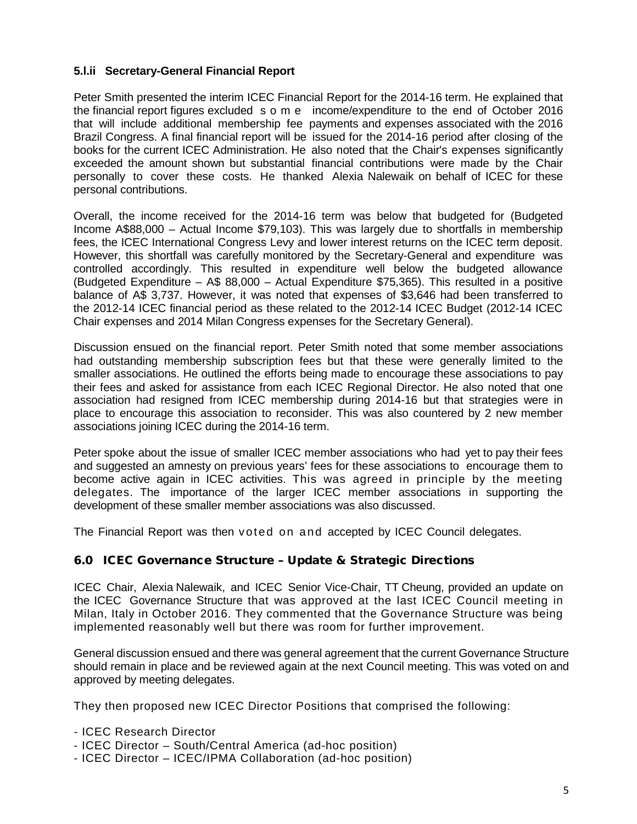### **5.l.ii Secretary-General Financial Report**

Peter Smith presented the interim ICEC Financial Report for the 2014-16 term. He explained that the financial report figures excluded some income/expenditure to the end of October 2016 that will include additional membership fee payments and expenses associated with the 2016 Brazil Congress. A final financial report will be issued for the 2014-16 period after closing of the books for the current ICEC Administration. He also noted that the Chair's expenses significantly exceeded the amount shown but substantial financial contributions were made by the Chair personally to cover these costs. He thanked Alexia Nalewaik on behalf of ICEC for these personal contributions.

Overall, the income received for the 2014-16 term was below that budgeted for (Budgeted Income A\$88,000 – Actual Income \$79,103). This was largely due to shortfalls in membership fees, the ICEC International Congress Levy and lower interest returns on the ICEC term deposit. However, this shortfall was carefully monitored by the Secretary-General and expenditure was controlled accordingly. This resulted in expenditure well below the budgeted allowance (Budgeted Expenditure –  $A\$  88,000 – Actual Expenditure  $$75,365$ ). This resulted in a positive balance of A\$ 3,737. However, it was noted that expenses of \$3,646 had been transferred to the 2012-14 ICEC financial period as these related to the 2012-14 ICEC Budget (2012-14 ICEC Chair expenses and 2014 Milan Congress expenses for the Secretary General).

Discussion ensued on the financial report. Peter Smith noted that some member associations had outstanding membership subscription fees but that these were generally limited to the smaller associations. He outlined the efforts being made to encourage these associations to pay their fees and asked for assistance from each ICEC Regional Director. He also noted that one association had resigned from ICEC membership during 2014-16 but that strategies were in place to encourage this association to reconsider. This was also countered by 2 new member associations joining ICEC during the 2014-16 term.

Peter spoke about the issue of smaller ICEC member associations who had yet to pay their fees and suggested an amnesty on previous years' fees for these associations to encourage them to become active again in ICEC activities. This was agreed in principle by the meeting delegates. The importance of the larger ICEC member associations in supporting the development of these smaller member associations was also discussed.

The Financial Report was then voted on and accepted by ICEC Council delegates.

# 6.0 ICEC Governance Structure – Update & Strategic Directions

ICEC Chair, Alexia Nalewaik, and ICEC Senior Vice-Chair, TT Cheung, provided an update on the ICEC Governance Structure that was approved at the last ICEC Council meeting in Milan, Italy in October 2016. They commented that the Governance Structure was being implemented reasonably well but there was room for further improvement.

General discussion ensued and there was general agreement that the current Governance Structure should remain in place and be reviewed again at the next Council meeting. This was voted on and approved by meeting delegates.

They then proposed new ICEC Director Positions that comprised the following:

- ICEC Research Director
- ICEC Director South/Central America (ad-hoc position)
- ICEC Director ICEC/IPMA Collaboration (ad-hoc position)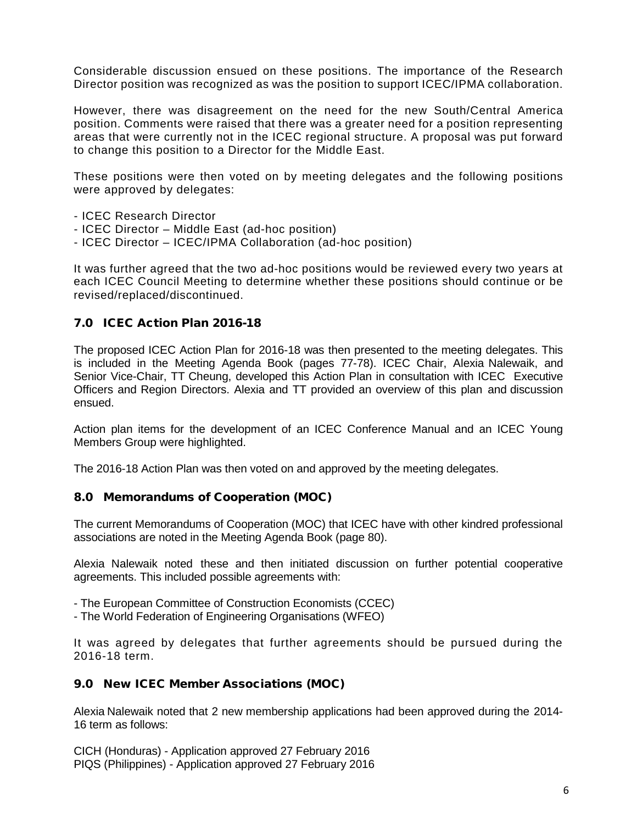Considerable discussion ensued on these positions. The importance of the Research Director position was recognized as was the position to support ICEC/IPMA collaboration.

However, there was disagreement on the need for the new South/Central America position. Comments were raised that there was a greater need for a position representing areas that were currently not in the ICEC regional structure. A proposal was put forward to change this position to a Director for the Middle East.

These positions were then voted on by meeting delegates and the following positions were approved by delegates:

- ICEC Research Director
- ICEC Director Middle East (ad-hoc position)
- ICEC Director ICEC/IPMA Collaboration (ad-hoc position)

It was further agreed that the two ad-hoc positions would be reviewed every two years at each ICEC Council Meeting to determine whether these positions should continue or be revised/replaced/discontinued.

# 7.0 ICEC Action Plan 2016-18

The proposed ICEC Action Plan for 2016-18 was then presented to the meeting delegates. This is included in the Meeting Agenda Book (pages 77-78). ICEC Chair, Alexia Nalewaik, and Senior Vice-Chair, TT Cheung, developed this Action Plan in consultation with ICEC Executive Officers and Region Directors. Alexia and TT provided an overview of this plan and discussion ensued.

Action plan items for the development of an ICEC Conference Manual and an ICEC Young Members Group were highlighted.

The 2016-18 Action Plan was then voted on and approved by the meeting delegates.

#### 8.0 Memorandums of Cooperation (MOC)

The current Memorandums of Cooperation (MOC) that ICEC have with other kindred professional associations are noted in the Meeting Agenda Book (page 80).

Alexia Nalewaik noted these and then initiated discussion on further potential cooperative agreements. This included possible agreements with:

- The European Committee of Construction Economists (CCEC)
- The World Federation of Engineering Organisations (WFEO)

It was agreed by delegates that further agreements should be pursued during the 2016-18 term.

### 9.0 New ICEC Member Associations (MOC)

Alexia Nalewaik noted that 2 new membership applications had been approved during the 2014- 16 term as follows:

CICH (Honduras) - Application approved 27 February 2016 PIQS (Philippines) - Application approved 27 February 2016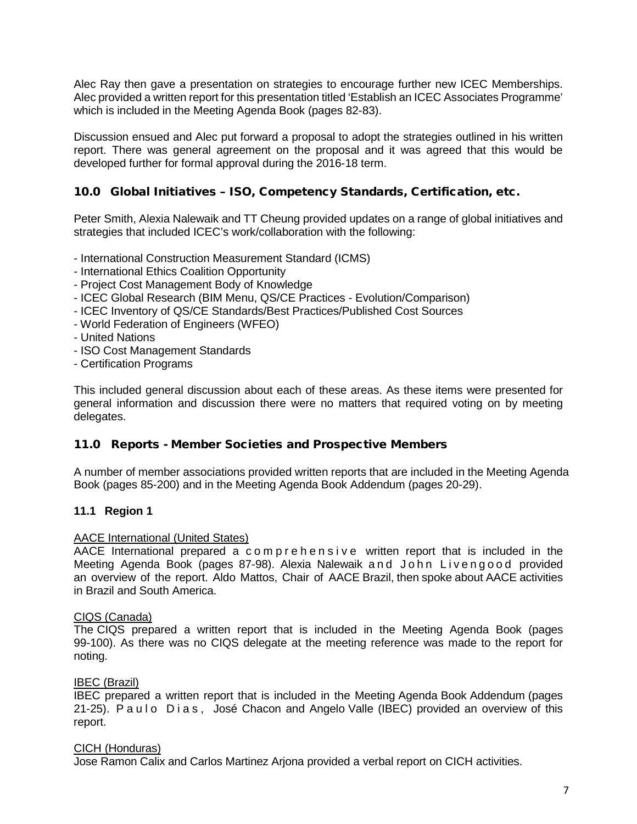Alec Ray then gave a presentation on strategies to encourage further new ICEC Memberships. Alec provided a written report for this presentation titled 'Establish an ICEC Associates Programme' which is included in the Meeting Agenda Book (pages 82-83).

Discussion ensued and Alec put forward a proposal to adopt the strategies outlined in his written report. There was general agreement on the proposal and it was agreed that this would be developed further for formal approval during the 2016-18 term.

### 10.0 Global Initiatives – ISO, Competency Standards, Certification, etc.

Peter Smith, Alexia Nalewaik and TT Cheung provided updates on a range of global initiatives and strategies that included ICEC's work/collaboration with the following:

- International Construction Measurement Standard (ICMS)
- International Ethics Coalition Opportunity
- Project Cost Management Body of Knowledge
- ICEC Global Research (BIM Menu, QS/CE Practices Evolution/Comparison)
- ICEC Inventory of QS/CE Standards/Best Practices/Published Cost Sources
- World Federation of Engineers (WFEO)
- United Nations
- ISO Cost Management Standards
- Certification Programs

This included general discussion about each of these areas. As these items were presented for general information and discussion there were no matters that required voting on by meeting delegates.

#### 11.0 Reports - Member Societies and Prospective Members

A number of member associations provided written reports that are included in the Meeting Agenda Book (pages 85-200) and in the Meeting Agenda Book Addendum (pages 20-29).

#### **11.1 Region 1**

#### AACE International (United States)

AACE International prepared a comprehensive written report that is included in the Meeting Agenda Book (pages 87-98). Alexia Nalewaik and John Livengood provided an overview of the report. Aldo Mattos, Chair of AACE Brazil, then spoke about AACE activities in Brazil and South America.

#### CIQS (Canada)

The CIQS prepared a written report that is included in the Meeting Agenda Book (pages 99-100). As there was no CIQS delegate at the meeting reference was made to the report for noting.

#### IBEC (Brazil)

IBEC prepared a written report that is included in the Meeting Agenda Book Addendum (pages 21-25). Paulo Dias, José Chacon and Angelo Valle (IBEC) provided an overview of this report.

#### CICH (Honduras)

Jose Ramon Calix and Carlos Martinez Arjona provided a verbal report on CICH activities.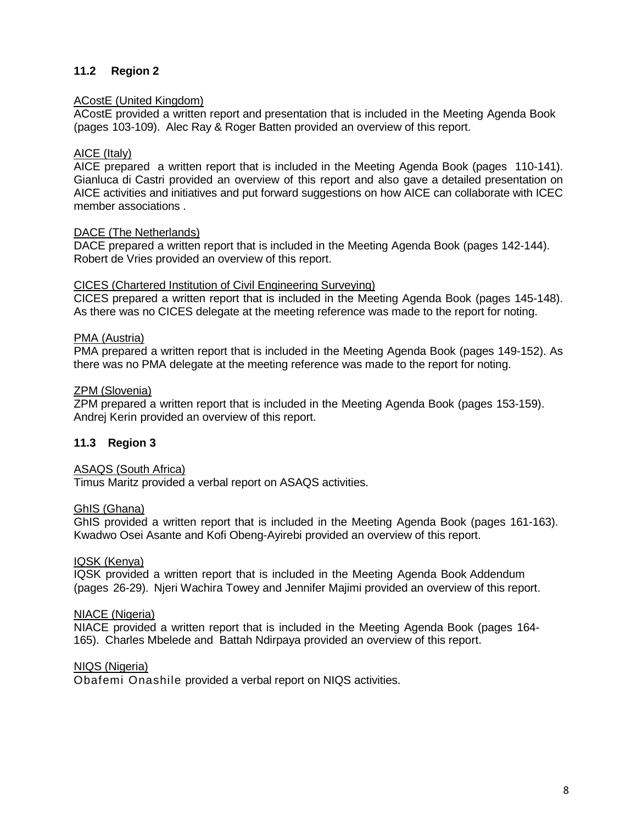# **11.2 Region 2**

### ACostE (United Kingdom)

ACostE provided a written report and presentation that is included in the Meeting Agenda Book (pages 103-109). Alec Ray & Roger Batten provided an overview of this report.

### AICE (Italy)

AICE prepared a written report that is included in the Meeting Agenda Book (pages 110-141). Gianluca di Castri provided an overview of this report and also gave a detailed presentation on AICE activities and initiatives and put forward suggestions on how AICE can collaborate with ICEC member associations .

### DACE (The Netherlands)

DACE prepared a written report that is included in the Meeting Agenda Book (pages 142-144). Robert de Vries provided an overview of this report.

### CICES (Chartered Institution of Civil Engineering Surveying)

CICES prepared a written report that is included in the Meeting Agenda Book (pages 145-148). As there was no CICES delegate at the meeting reference was made to the report for noting.

### PMA (Austria)

PMA prepared a written report that is included in the Meeting Agenda Book (pages 149-152). As there was no PMA delegate at the meeting reference was made to the report for noting.

### ZPM (Slovenia)

ZPM prepared a written report that is included in the Meeting Agenda Book (pages 153-159). Andrej Kerin provided an overview of this report.

### **11.3 Region 3**

#### ASAQS (South Africa)

Timus Maritz provided a verbal report on ASAQS activities.

#### GhIS (Ghana)

GhIS provided a written report that is included in the Meeting Agenda Book (pages 161-163). Kwadwo Osei Asante and Kofi Obeng-Ayirebi provided an overview of this report.

#### IQSK (Kenya)

IQSK provided a written report that is included in the Meeting Agenda Book Addendum (pages 26-29). Njeri Wachira Towey and Jennifer Majimi provided an overview of this report.

#### NIACE (Nigeria)

NIACE provided a written report that is included in the Meeting Agenda Book (pages 164- 165). Charles Mbelede and Battah Ndirpaya provided an overview of this report.

NIQS (Nigeria)

Obafemi Onashile provided a verbal report on NIQS activities.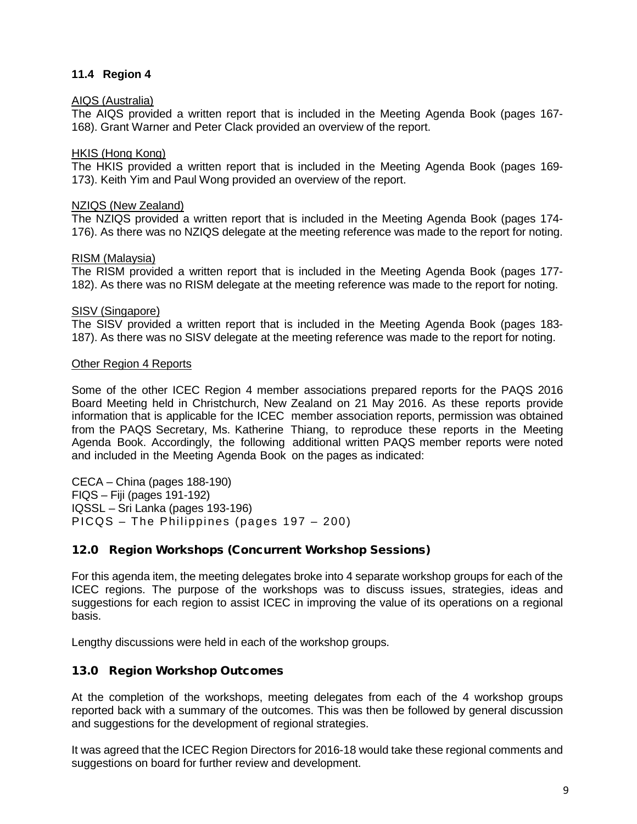### **11.4 Region 4**

#### AIQS (Australia)

The AIQS provided a written report that is included in the Meeting Agenda Book (pages 167- 168). Grant Warner and Peter Clack provided an overview of the report.

### HKIS (Hong Kong)

The HKIS provided a written report that is included in the Meeting Agenda Book (pages 169- 173). Keith Yim and Paul Wong provided an overview of the report.

### NZIQS (New Zealand)

The NZIQS provided a written report that is included in the Meeting Agenda Book (pages 174- 176). As there was no NZIQS delegate at the meeting reference was made to the report for noting.

### RISM (Malaysia)

The RISM provided a written report that is included in the Meeting Agenda Book (pages 177- 182). As there was no RISM delegate at the meeting reference was made to the report for noting.

### SISV (Singapore)

The SISV provided a written report that is included in the Meeting Agenda Book (pages 183- 187). As there was no SISV delegate at the meeting reference was made to the report for noting.

### Other Region 4 Reports

Some of the other ICEC Region 4 member associations prepared reports for the PAQS 2016 Board Meeting held in Christchurch, New Zealand on 21 May 2016. As these reports provide information that is applicable for the ICEC member association reports, permission was obtained from the PAQS Secretary, Ms. Katherine Thiang, to reproduce these reports in the Meeting Agenda Book. Accordingly, the following additional written PAQS member reports were noted and included in the Meeting Agenda Book on the pages as indicated:

CECA – China (pages 188-190) FIQS – Fiji (pages 191-192) IQSSL – Sri Lanka (pages 193-196) PICQS – The Philippines (pages 197 – 200)

### 12.0 Region Workshops (Concurrent Workshop Sessions)

For this agenda item, the meeting delegates broke into 4 separate workshop groups for each of the ICEC regions. The purpose of the workshops was to discuss issues, strategies, ideas and suggestions for each region to assist ICEC in improving the value of its operations on a regional basis.

Lengthy discussions were held in each of the workshop groups.

### 13.0 Region Workshop Outcomes

At the completion of the workshops, meeting delegates from each of the 4 workshop groups reported back with a summary of the outcomes. This was then be followed by general discussion and suggestions for the development of regional strategies.

It was agreed that the ICEC Region Directors for 2016-18 would take these regional comments and suggestions on board for further review and development.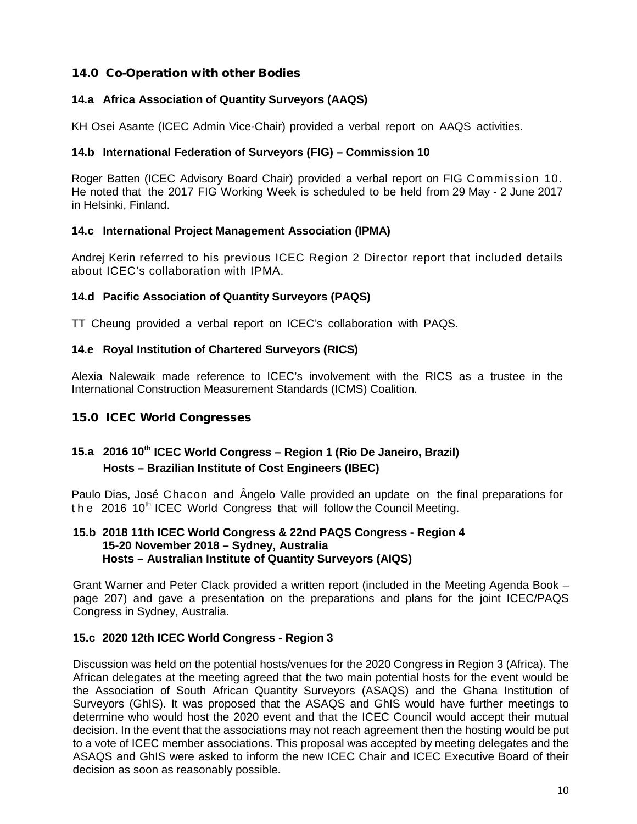# 14.0 Co-Operation with other Bodies

# **14.a Africa Association of Quantity Surveyors (AAQS)**

KH Osei Asante (ICEC Admin Vice-Chair) provided a verbal report on AAQS activities.

### **14.b International Federation of Surveyors (FIG) – Commission 10**

Roger Batten (ICEC Advisory Board Chair) provided a verbal report on FIG Commission 10. He noted that the 2017 FIG Working Week is scheduled to be held from 29 May - 2 June 2017 in Helsinki, Finland.

### **14.c International Project Management Association (IPMA)**

Andrej Kerin referred to his previous ICEC Region 2 Director report that included details about ICEC's collaboration with IPMA.

# **14.d Pacific Association of Quantity Surveyors (PAQS)**

TT Cheung provided a verbal report on ICEC's collaboration with PAQS.

### **14.e Royal Institution of Chartered Surveyors (RICS)**

Alexia Nalewaik made reference to ICEC's involvement with the RICS as a trustee in the International Construction Measurement Standards (ICMS) Coalition.

# 15.0 ICEC World Congresses

# **15.a 2016 10th ICEC World Congress – Region 1 (Rio De Janeiro, Brazil) Hosts – Brazilian Institute of Cost Engineers (IBEC)**

Paulo Dias, José Chacon and Ângelo Valle provided an update on the final preparations for the 2016 10<sup>th</sup> ICEC World Congress that will follow the Council Meeting.

### **15.b 2018 11th ICEC World Congress & 22nd PAQS Congress - Region 4 15-20 November 2018 – Sydney, Australia Hosts – Australian Institute of Quantity Surveyors (AIQS)**

Grant Warner and Peter Clack provided a written report (included in the Meeting Agenda Book – page 207) and gave a presentation on the preparations and plans for the joint ICEC/PAQS Congress in Sydney, Australia.

### **15.c 2020 12th ICEC World Congress - Region 3**

Discussion was held on the potential hosts/venues for the 2020 Congress in Region 3 (Africa). The African delegates at the meeting agreed that the two main potential hosts for the event would be the Association of South African Quantity Surveyors (ASAQS) and the Ghana Institution of Surveyors (GhIS). It was proposed that the ASAQS and GhIS would have further meetings to determine who would host the 2020 event and that the ICEC Council would accept their mutual decision. In the event that the associations may not reach agreement then the hosting would be put to a vote of ICEC member associations. This proposal was accepted by meeting delegates and the ASAQS and GhIS were asked to inform the new ICEC Chair and ICEC Executive Board of their decision as soon as reasonably possible.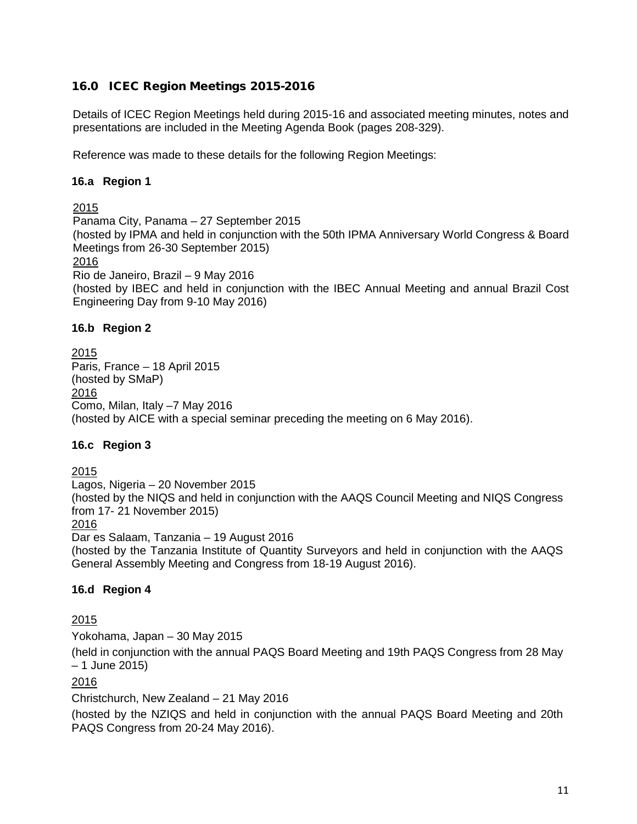# 16.0 ICEC Region Meetings 2015-2016

Details of ICEC Region Meetings held during 2015-16 and associated meeting minutes, notes and presentations are included in the Meeting Agenda Book (pages 208-329).

Reference was made to these details for the following Region Meetings:

# **16.a Region 1**

2015 Panama City, Panama – 27 September 2015 (hosted by IPMA and held in conjunction with the 50th IPMA Anniversary World Congress & Board Meetings from 26-30 September 2015) 2016 Rio de Janeiro, Brazil – 9 May 2016 (hosted by IBEC and held in conjunction with the IBEC Annual Meeting and annual Brazil Cost Engineering Day from 9-10 May 2016)

### **16.b Region 2**

2015 Paris, France – 18 April 2015 (hosted by SMaP) 2016 Como, Milan, Italy –7 May 2016 (hosted by AICE with a special seminar preceding the meeting on 6 May 2016).

### **16.c Region 3**

2015

Lagos, Nigeria – 20 November 2015

(hosted by the NIQS and held in conjunction with the AAQS Council Meeting and NIQS Congress from 17- 21 November 2015)

2016

Dar es Salaam, Tanzania – 19 August 2016

(hosted by the Tanzania Institute of Quantity Surveyors and held in conjunction with the AAQS General Assembly Meeting and Congress from 18-19 August 2016).

### **16.d Region 4**

2015

Yokohama, Japan – 30 May 2015

(held in conjunction with the annual PAQS Board Meeting and 19th PAQS Congress from 28 May – 1 June 2015)

2016

Christchurch, New Zealand – 21 May 2016

(hosted by the NZIQS and held in conjunction with the annual PAQS Board Meeting and 20th PAQS Congress from 20-24 May 2016).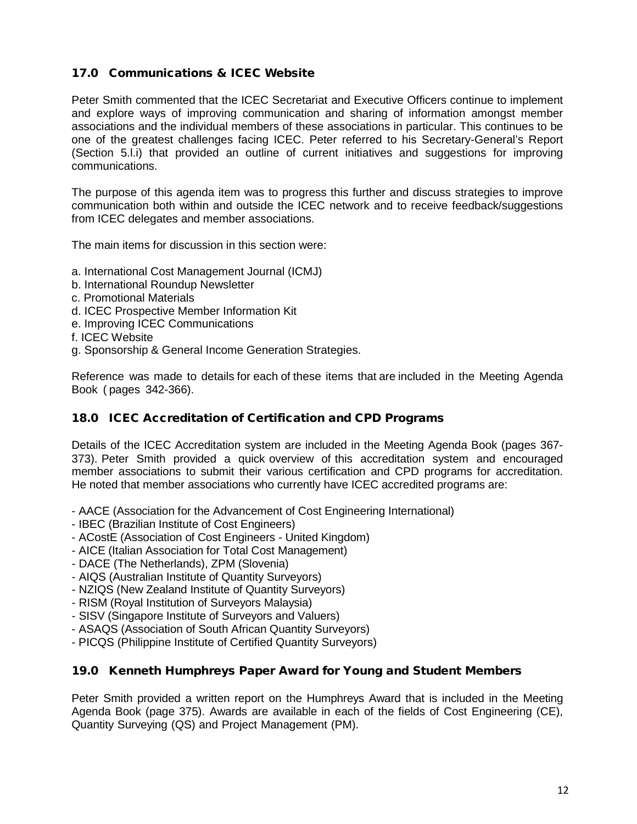# 17.0 Communications & ICEC Website

Peter Smith commented that the ICEC Secretariat and Executive Officers continue to implement and explore ways of improving communication and sharing of information amongst member associations and the individual members of these associations in particular. This continues to be one of the greatest challenges facing ICEC. Peter referred to his Secretary-General's Report (Section 5.l.i) that provided an outline of current initiatives and suggestions for improving communications.

The purpose of this agenda item was to progress this further and discuss strategies to improve communication both within and outside the ICEC network and to receive feedback/suggestions from ICEC delegates and member associations.

The main items for discussion in this section were:

- a. International Cost Management Journal (ICMJ)
- b. International Roundup Newsletter
- c. Promotional Materials
- d. ICEC Prospective Member Information Kit
- e. Improving ICEC Communications
- f. ICEC Website
- g. Sponsorship & General Income Generation Strategies.

Reference was made to details for each of these items that are included in the Meeting Agenda Book ( pages 342-366).

### 18.0 ICEC Accreditation of Certification and CPD Programs

Details of the ICEC Accreditation system are included in the Meeting Agenda Book (pages 367- 373). Peter Smith provided a quick overview of this accreditation system and encouraged member associations to submit their various certification and CPD programs for accreditation. He noted that member associations who currently have ICEC accredited programs are:

- AACE (Association for the Advancement of Cost Engineering International)
- IBEC (Brazilian Institute of Cost Engineers)
- ACostE (Association of Cost Engineers United Kingdom)
- AICE (Italian Association for Total Cost Management)
- DACE (The Netherlands), ZPM (Slovenia)
- AIQS (Australian Institute of Quantity Surveyors)
- NZIQS (New Zealand Institute of Quantity Surveyors)
- RISM (Royal Institution of Surveyors Malaysia)
- SISV (Singapore Institute of Surveyors and Valuers)
- ASAQS (Association of South African Quantity Surveyors)
- PICQS (Philippine Institute of Certified Quantity Surveyors)

#### 19.0 Kenneth Humphreys Paper Award for Young and Student Members

Peter Smith provided a written report on the Humphreys Award that is included in the Meeting Agenda Book (page 375). Awards are available in each of the fields of Cost Engineering (CE), Quantity Surveying (QS) and Project Management (PM).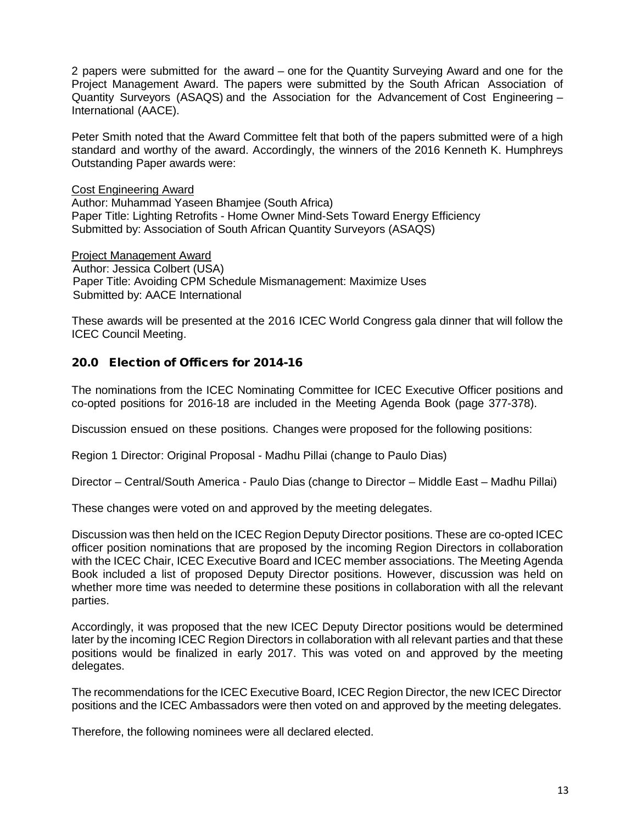2 papers were submitted for the award – one for the Quantity Surveying Award and one for the Project Management Award. The papers were submitted by the South African Association of Quantity Surveyors (ASAQS) and the Association for the Advancement of Cost Engineering – International (AACE).

Peter Smith noted that the Award Committee felt that both of the papers submitted were of a high standard and worthy of the award. Accordingly, the winners of the 2016 Kenneth K. Humphreys Outstanding Paper awards were:

Cost Engineering Award Author: Muhammad Yaseen Bhamjee (South Africa) Paper Title: Lighting Retrofits - Home Owner Mind-Sets Toward Energy Efficiency Submitted by: Association of South African Quantity Surveyors (ASAQS)

Project Management Award Author: Jessica Colbert (USA) Paper Title: Avoiding CPM Schedule Mismanagement: Maximize Uses Submitted by: AACE International

These awards will be presented at the 2016 ICEC World Congress gala dinner that will follow the ICEC Council Meeting.

# 20.0 Election of Officers for 2014-16

The nominations from the ICEC Nominating Committee for ICEC Executive Officer positions and co-opted positions for 2016-18 are included in the Meeting Agenda Book (page 377-378).

Discussion ensued on these positions. Changes were proposed for the following positions:

Region 1 Director: Original Proposal - Madhu Pillai (change to Paulo Dias)

Director – Central/South America - Paulo Dias (change to Director – Middle East – Madhu Pillai)

These changes were voted on and approved by the meeting delegates.

Discussion was then held on the ICEC Region Deputy Director positions. These are co-opted ICEC officer position nominations that are proposed by the incoming Region Directors in collaboration with the ICEC Chair, ICEC Executive Board and ICEC member associations. The Meeting Agenda Book included a list of proposed Deputy Director positions. However, discussion was held on whether more time was needed to determine these positions in collaboration with all the relevant parties.

Accordingly, it was proposed that the new ICEC Deputy Director positions would be determined later by the incoming ICEC Region Directors in collaboration with all relevant parties and that these positions would be finalized in early 2017. This was voted on and approved by the meeting delegates.

The recommendations for the ICEC Executive Board, ICEC Region Director, the new ICEC Director positions and the ICEC Ambassadors were then voted on and approved by the meeting delegates.

Therefore, the following nominees were all declared elected.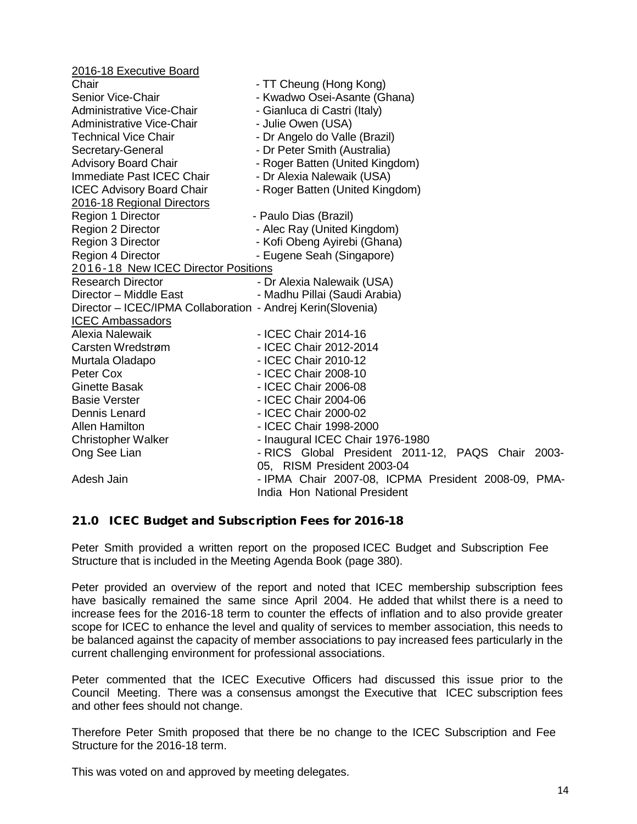| 2016-18 Executive Board                                     |                                                                                     |
|-------------------------------------------------------------|-------------------------------------------------------------------------------------|
| Chair                                                       | - TT Cheung (Hong Kong)                                                             |
| <b>Senior Vice-Chair</b>                                    | - Kwadwo Osei-Asante (Ghana)                                                        |
| Administrative Vice-Chair                                   | - Gianluca di Castri (Italy)                                                        |
| Administrative Vice-Chair                                   | - Julie Owen (USA)                                                                  |
| <b>Technical Vice Chair</b>                                 | - Dr Angelo do Valle (Brazil)                                                       |
| Secretary-General                                           | - Dr Peter Smith (Australia)                                                        |
| <b>Advisory Board Chair</b>                                 | - Roger Batten (United Kingdom)                                                     |
| Immediate Past ICEC Chair                                   | - Dr Alexia Nalewaik (USA)                                                          |
| <b>ICEC Advisory Board Chair</b>                            | - Roger Batten (United Kingdom)                                                     |
| 2016-18 Regional Directors                                  |                                                                                     |
| Region 1 Director                                           | - Paulo Dias (Brazil)                                                               |
| Region 2 Director                                           | - Alec Ray (United Kingdom)                                                         |
| Region 3 Director                                           | - Kofi Obeng Ayirebi (Ghana)                                                        |
| Region 4 Director                                           | - Eugene Seah (Singapore)                                                           |
| 2016-18 New ICEC Director Positions                         |                                                                                     |
| <b>Research Director</b>                                    | - Dr Alexia Nalewaik (USA)                                                          |
| Director - Middle East                                      | - Madhu Pillai (Saudi Arabia)                                                       |
| Director - ICEC/IPMA Collaboration - Andrej Kerin(Slovenia) |                                                                                     |
| <b>ICEC Ambassadors</b>                                     |                                                                                     |
| Alexia Nalewaik                                             | - ICEC Chair 2014-16                                                                |
| Carsten Wredstrøm                                           | - ICEC Chair 2012-2014                                                              |
| Murtala Oladapo                                             | - ICEC Chair 2010-12                                                                |
| Peter Cox                                                   | - ICEC Chair 2008-10                                                                |
| <b>Ginette Basak</b>                                        | - ICEC Chair 2006-08                                                                |
| <b>Basie Verster</b>                                        | - ICEC Chair 2004-06                                                                |
| Dennis Lenard                                               | - ICEC Chair 2000-02                                                                |
| <b>Allen Hamilton</b>                                       | - ICEC Chair 1998-2000                                                              |
| <b>Christopher Walker</b>                                   | - Inaugural ICEC Chair 1976-1980                                                    |
| Ong See Lian                                                | - RICS Global President 2011-12, PAQS Chair 2003-<br>05, RISM President 2003-04     |
| Adesh Jain                                                  | - IPMA Chair 2007-08, ICPMA President 2008-09, PMA-<br>India Hon National President |

### 21.0 ICEC Budget and Subscription Fees for 2016-18

Peter Smith provided a written report on the proposed ICEC Budget and Subscription Fee Structure that is included in the Meeting Agenda Book (page 380).

Peter provided an overview of the report and noted that ICEC membership subscription fees have basically remained the same since April 2004. He added that whilst there is a need to increase fees for the 2016-18 term to counter the effects of inflation and to also provide greater scope for ICEC to enhance the level and quality of services to member association, this needs to be balanced against the capacity of member associations to pay increased fees particularly in the current challenging environment for professional associations.

Peter commented that the ICEC Executive Officers had discussed this issue prior to the Council Meeting. There was a consensus amongst the Executive that ICEC subscription fees and other fees should not change.

Therefore Peter Smith proposed that there be no change to the ICEC Subscription and Fee Structure for the 2016-18 term.

This was voted on and approved by meeting delegates.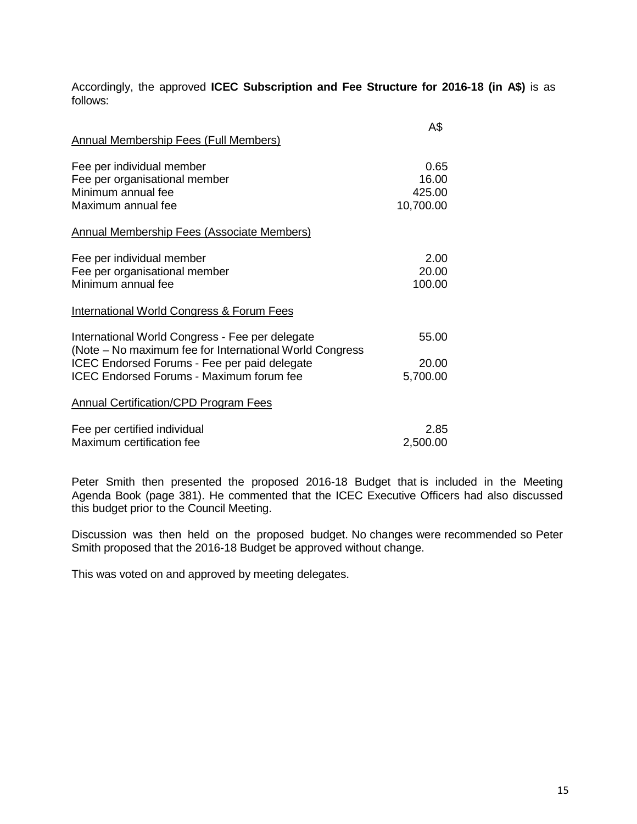Accordingly, the approved **ICEC Subscription and Fee Structure for 2016-18 (in A\$)** is as follows:

| <b>Annual Membership Fees (Full Members)</b>                                                                                                                                                                  | A\$                                  |
|---------------------------------------------------------------------------------------------------------------------------------------------------------------------------------------------------------------|--------------------------------------|
| Fee per individual member<br>Fee per organisational member<br>Minimum annual fee<br>Maximum annual fee                                                                                                        | 0.65<br>16.00<br>425.00<br>10,700.00 |
| Annual Membership Fees (Associate Members)                                                                                                                                                                    |                                      |
| Fee per individual member<br>Fee per organisational member<br>Minimum annual fee                                                                                                                              | 2.00<br>20.00<br>100.00              |
| <b>International World Congress &amp; Forum Fees</b>                                                                                                                                                          |                                      |
| International World Congress - Fee per delegate<br>(Note – No maximum fee for International World Congress<br>ICEC Endorsed Forums - Fee per paid delegate<br><b>ICEC Endorsed Forums - Maximum forum fee</b> | 55.00<br>20.00<br>5,700.00           |
| <b>Annual Certification/CPD Program Fees</b>                                                                                                                                                                  |                                      |
| Fee per certified individual<br>Maximum certification fee                                                                                                                                                     | 2.85<br>2,500.00                     |

Peter Smith then presented the proposed 2016-18 Budget that is included in the Meeting Agenda Book (page 381). He commented that the ICEC Executive Officers had also discussed this budget prior to the Council Meeting.

Discussion was then held on the proposed budget. No changes were recommended so Peter Smith proposed that the 2016-18 Budget be approved without change.

This was voted on and approved by meeting delegates.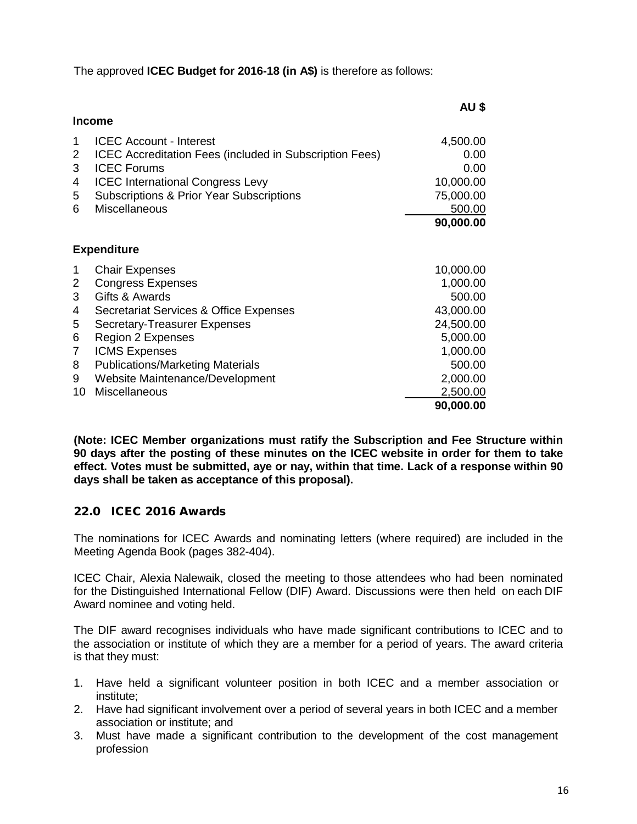The approved **ICEC Budget for 2016-18 (in A\$)** is therefore as follows:

|                                                                                                                                                                                                                                                                                                                                                            | AU \$                                                                                                                            |
|------------------------------------------------------------------------------------------------------------------------------------------------------------------------------------------------------------------------------------------------------------------------------------------------------------------------------------------------------------|----------------------------------------------------------------------------------------------------------------------------------|
| <b>Income</b>                                                                                                                                                                                                                                                                                                                                              |                                                                                                                                  |
| <b>ICEC Account - Interest</b><br>1<br>2<br><b>ICEC Accreditation Fees (included in Subscription Fees)</b><br><b>ICEC Forums</b><br>3<br><b>ICEC</b> International Congress Levy<br>4<br><b>Subscriptions &amp; Prior Year Subscriptions</b><br>5                                                                                                          | 4,500.00<br>0.00<br>0.00<br>10,000.00<br>75,000.00                                                                               |
| <b>Miscellaneous</b><br>6                                                                                                                                                                                                                                                                                                                                  | 500.00                                                                                                                           |
|                                                                                                                                                                                                                                                                                                                                                            | 90,000.00                                                                                                                        |
| <b>Expenditure</b>                                                                                                                                                                                                                                                                                                                                         |                                                                                                                                  |
| <b>Chair Expenses</b><br>1<br><b>Congress Expenses</b><br>2<br>Gifts & Awards<br>3<br>Secretariat Services & Office Expenses<br>4<br>5<br><b>Secretary-Treasurer Expenses</b><br><b>Region 2 Expenses</b><br>6<br>7<br><b>ICMS Expenses</b><br><b>Publications/Marketing Materials</b><br>8<br>Website Maintenance/Development<br>9<br>Miscellaneous<br>10 | 10,000.00<br>1,000.00<br>500.00<br>43,000.00<br>24,500.00<br>5,000.00<br>1,000.00<br>500.00<br>2,000.00<br>2,500.00<br>90,000.00 |

**(Note: ICEC Member organizations must ratify the Subscription and Fee Structure within 90 days after the posting of these minutes on the ICEC website in order for them to take effect. Votes must be submitted, aye or nay, within that time. Lack of a response within 90 days shall be taken as acceptance of this proposal).**

# 22.0 ICEC 2016 Awards

The nominations for ICEC Awards and nominating letters (where required) are included in the Meeting Agenda Book (pages 382-404).

ICEC Chair, Alexia Nalewaik, closed the meeting to those attendees who had been nominated for the Distinguished International Fellow (DIF) Award. Discussions were then held on each DIF Award nominee and voting held.

The DIF award recognises individuals who have made significant contributions to ICEC and to the association or institute of which they are a member for a period of years. The award criteria is that they must:

- 1. Have held a significant volunteer position in both ICEC and a member association or institute;
- 2. Have had significant involvement over a period of several years in both ICEC and a member association or institute; and
- 3. Must have made a significant contribution to the development of the cost management profession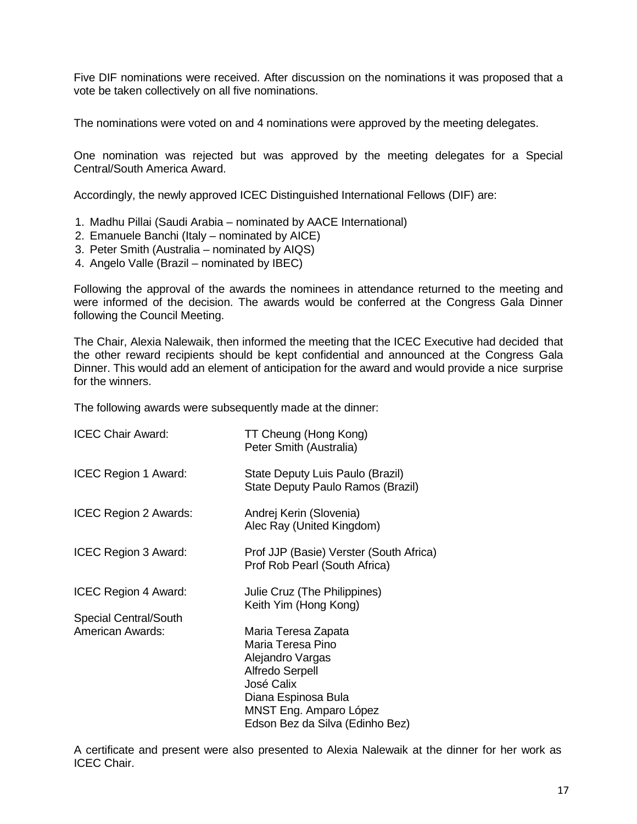Five DIF nominations were received. After discussion on the nominations it was proposed that a vote be taken collectively on all five nominations.

The nominations were voted on and 4 nominations were approved by the meeting delegates.

One nomination was rejected but was approved by the meeting delegates for a Special Central/South America Award.

Accordingly, the newly approved ICEC Distinguished International Fellows (DIF) are:

- 1. Madhu Pillai (Saudi Arabia nominated by AACE International)
- 2. Emanuele Banchi (Italy nominated by AICE)
- 3. Peter Smith (Australia nominated by AIQS)
- 4. Angelo Valle (Brazil nominated by IBEC)

Following the approval of the awards the nominees in attendance returned to the meeting and were informed of the decision. The awards would be conferred at the Congress Gala Dinner following the Council Meeting.

The Chair, Alexia Nalewaik, then informed the meeting that the ICEC Executive had decided that the other reward recipients should be kept confidential and announced at the Congress Gala Dinner. This would add an element of anticipation for the award and would provide a nice surprise for the winners.

The following awards were subsequently made at the dinner:

| <b>ICEC Chair Award:</b>                                    | TT Cheung (Hong Kong)<br>Peter Smith (Australia)                                                                                                                                         |
|-------------------------------------------------------------|------------------------------------------------------------------------------------------------------------------------------------------------------------------------------------------|
| <b>ICEC Region 1 Award:</b>                                 | State Deputy Luis Paulo (Brazil)<br>State Deputy Paulo Ramos (Brazil)                                                                                                                    |
| ICEC Region 2 Awards:                                       | Andrej Kerin (Slovenia)<br>Alec Ray (United Kingdom)                                                                                                                                     |
| <b>ICEC Region 3 Award:</b>                                 | Prof JJP (Basie) Verster (South Africa)<br>Prof Rob Pearl (South Africa)                                                                                                                 |
| <b>ICEC Region 4 Award:</b><br><b>Special Central/South</b> | Julie Cruz (The Philippines)<br>Keith Yim (Hong Kong)                                                                                                                                    |
| <b>American Awards:</b>                                     | Maria Teresa Zapata<br>Maria Teresa Pino<br>Alejandro Vargas<br><b>Alfredo Serpell</b><br>José Calix<br>Diana Espinosa Bula<br>MNST Eng. Amparo López<br>Edson Bez da Silva (Edinho Bez) |

A certificate and present were also presented to Alexia Nalewaik at the dinner for her work as ICEC Chair.